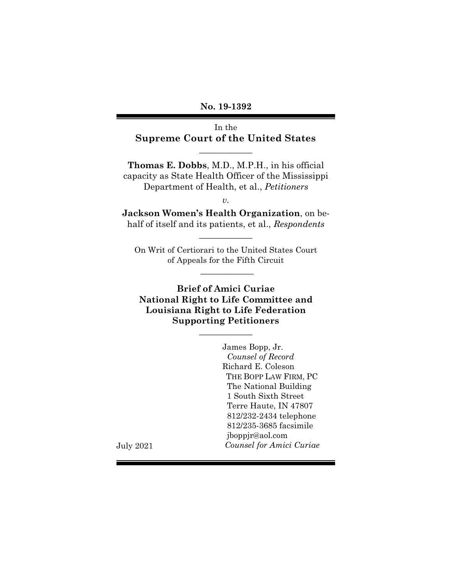**No. 19-1392**

In the **Supreme Court of the United States**

 $\overline{\phantom{a}}$  , where  $\overline{\phantom{a}}$ 

**Thomas E. Dobbs**, M.D., M.P.H., in his official capacity as State Health Officer of the Mississippi Department of Health, et al., *Petitioners*

*v.*

**Jackson Women's Health Organization**, on behalf of itself and its patients, et al., *Respondents*

 $\overline{\phantom{a}}$  , where  $\overline{\phantom{a}}$ 

On Writ of Certiorari to the United States Court of Appeals for the Fifth Circuit

 $\frac{1}{2}$ 

**Brief of Amici Curiae National Right to Life Committee and Louisiana Right to Life Federation Supporting Petitioners**

 $\overline{\phantom{a}}$  , where  $\overline{\phantom{a}}$ 

James Bopp, Jr. *Counsel of Record* Richard E. Coleson THE BOPP LAW FIRM, PC The National Building 1 South Sixth Street Terre Haute, IN 47807 812/232-2434 telephone 812/235-3685 facsimile jboppjr@aol.com *Counsel for Amici Curiae*

July 2021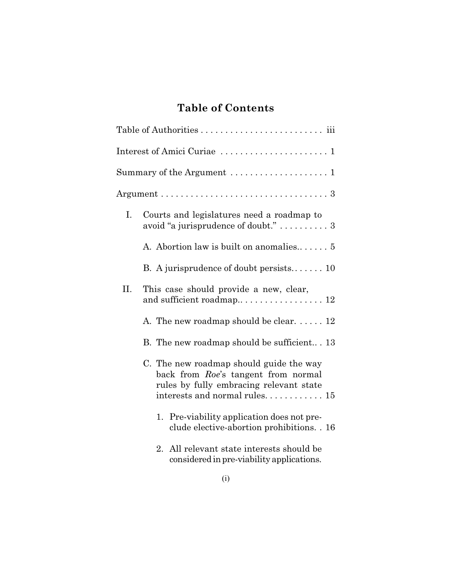# **Table of Contents**

|     | Interest of Amici Curiae  1                                                                                               |
|-----|---------------------------------------------------------------------------------------------------------------------------|
|     |                                                                                                                           |
|     |                                                                                                                           |
| I.  | Courts and legislatures need a roadmap to<br>avoid "a jurisprudence of doubt."  3                                         |
|     | A. Abortion law is built on anomalies 5                                                                                   |
|     | B. A jurisprudence of doubt persists 10                                                                                   |
| II. | This case should provide a new, clear,<br>and sufficient roadmap 12                                                       |
|     | A. The new roadmap should be clear. $\dots$ 12                                                                            |
|     | B. The new roadmap should be sufficient 13                                                                                |
|     | C. The new roadmap should guide the way<br>back from Roe's tangent from normal<br>rules by fully embracing relevant state |
|     | 1. Pre-viability application does not pre-<br>clude elective-abortion prohibitions. . 16                                  |
|     | All relevant state interests should be<br>$2_{-}$<br>considered in pre-viability applications.                            |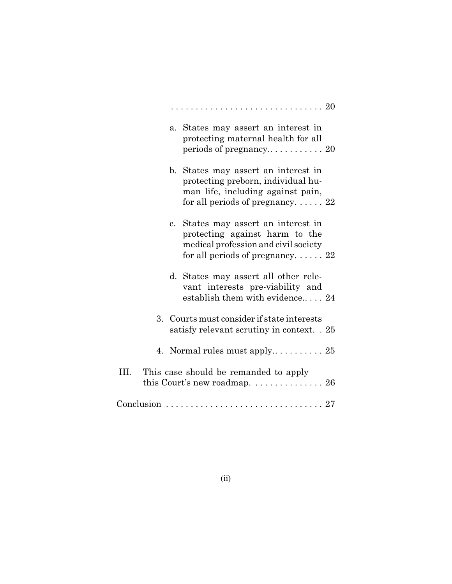|    |             | a. States may assert an interest in<br>protecting maternal health for all                                                                           |
|----|-------------|-----------------------------------------------------------------------------------------------------------------------------------------------------|
|    |             | b. States may assert an interest in<br>protecting preborn, individual hu-<br>man life, including against pain,<br>for all periods of pregnancy $22$ |
|    | $c_{\rm}$ . | States may assert an interest in<br>protecting against harm to the<br>medical profession and civil society<br>for all periods of pregnancy $22$     |
|    |             | d. States may assert all other rele-<br>vant interests pre-viability and<br>establish them with evidence 24                                         |
|    |             | 3. Courts must consider if state interests<br>satisfy relevant scrutiny in context. . 25                                                            |
|    |             | 4. Normal rules must apply $25$                                                                                                                     |
| Ш. |             | This case should be remanded to apply<br>this Court's new roadmap. $\ldots \ldots \ldots \ldots 26$                                                 |
|    |             |                                                                                                                                                     |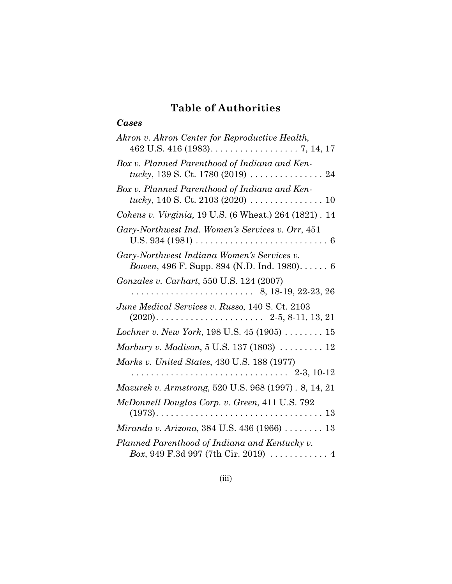# **Table of Authorities**

## *Cases*

| Akron v. Akron Center for Reproductive Health,                                                                         |
|------------------------------------------------------------------------------------------------------------------------|
| Box v. Planned Parenthood of Indiana and Ken-<br>tucky, 139 S. Ct. 1780 (2019) $\ldots \ldots \ldots \ldots \ldots 24$ |
| Box v. Planned Parenthood of Indiana and Ken-<br>tucky, 140 S. Ct. 2103 (2020) $\ldots \ldots \ldots \ldots \ldots$ 10 |
| Cohens v. Virginia, 19 U.S. (6 Wheat.) 264 (1821). 14                                                                  |
| Gary-Northwest Ind. Women's Services v. Orr, 451                                                                       |
| Gary-Northwest Indiana Women's Services v.<br>Bowen, 496 F. Supp. 894 (N.D. Ind. 1980) 6                               |
| Gonzales v. Carhart, 550 U.S. 124 (2007)                                                                               |
| June Medical Services v. Russo, 140 S. Ct. 2103                                                                        |
| Lochner v. New York, 198 U.S. 45 (1905)  15                                                                            |
| Marbury v. Madison, $5$ U.S. 137 (1803) $\ldots \ldots \ldots$ 12                                                      |
| Marks v. United States, 430 U.S. 188 (1977)                                                                            |
|                                                                                                                        |
| Mazurek v. Armstrong, 520 U.S. 968 (1997). 8, 14, 21                                                                   |
| McDonnell Douglas Corp. v. Green, 411 U.S. 792                                                                         |
| Miranda v. Arizona, 384 U.S. 436 (1966)  13                                                                            |
| Planned Parenthood of Indiana and Kentucky v.<br>Box, 949 F.3d 997 (7th Cir. 2019) $\ldots \ldots \ldots$ 4            |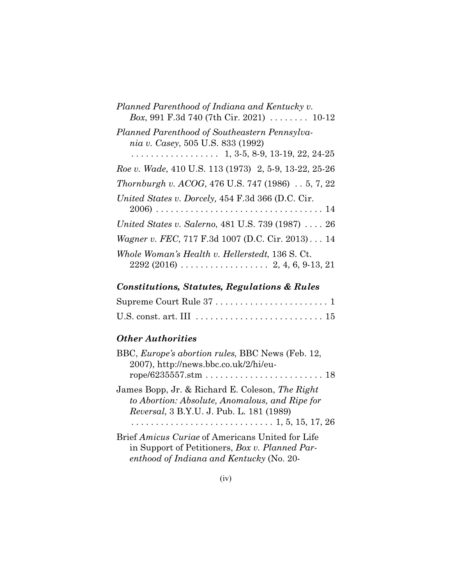| Planned Parenthood of Indiana and Kentucky v.<br>Box, 991 F.3d 740 (7th Cir. 2021) $\ldots \ldots$ 10-12 |
|----------------------------------------------------------------------------------------------------------|
| Planned Parenthood of Southeastern Pennsylva-<br>nia v. Casey, 505 U.S. 833 (1992)                       |
| Roe v. Wade, 410 U.S. 113 (1973) 2, 5-9, 13-22, 25-26                                                    |
| <i>Thornburgh v. ACOG, 476 U.S. 747 (1986)  5, 7, 22</i>                                                 |
| United States v. Dorcely, 454 F.3d 366 (D.C. Cir.                                                        |
| United States v. Salerno, 481 U.S. 739 (1987)  26                                                        |
| <i>Wagner v. FEC, 717 F.3d 1007 (D.C. Cir. 2013)</i> 14                                                  |
| Whole Woman's Health v. Hellerstedt, 136 S. Ct.                                                          |

# *Constitutions, Statutes, Regulations & Rules*

| U.S. const. art. III $\ldots \ldots \ldots \ldots \ldots \ldots \ldots \ldots \ldots 15$ |  |
|------------------------------------------------------------------------------------------|--|

## *Other Authorities*

| BBC, Europe's abortion rules, BBC News (Feb. 12,<br>2007), http://news.bbc.co.uk/2/hi/eu-                                                      |
|------------------------------------------------------------------------------------------------------------------------------------------------|
| James Bopp, Jr. & Richard E. Coleson, The Right<br>to Abortion: Absolute, Anomalous, and Ripe for<br>Reversal, 3 B.Y.U. J. Pub. L. 181 (1989)  |
| Brief Amicus Curiae of Americans United for Life<br>in Support of Petitioners, Box v. Planned Par-<br>enthood of Indiana and Kentucky (No. 20- |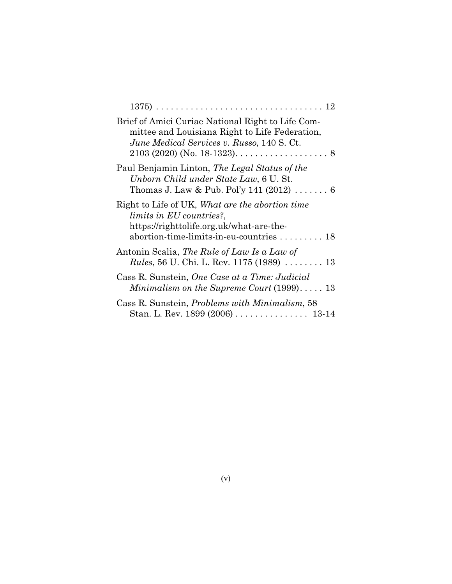| Brief of Amici Curiae National Right to Life Com-<br>mittee and Louisiana Right to Life Federation,<br>June Medical Services v. Russo, 140 S. Ct.                   |
|---------------------------------------------------------------------------------------------------------------------------------------------------------------------|
| Paul Benjamin Linton, The Legal Status of the<br>Unborn Child under State Law, 6 U. St.<br>Thomas J. Law & Pub. Pol'y 141 (2012) $\ldots \ldots 6$                  |
| Right to Life of UK, What are the abortion time<br>limits in EU countries?,<br>https://righttolife.org.uk/what-are-the-<br>abortion-time-limits-in-eu-countries  18 |
| Antonin Scalia, <i>The Rule of Law Is a Law of</i><br><i>Rules</i> , 56 U. Chi. L. Rev. 1175 (1989) $\ldots \ldots \ldots$ 13                                       |
| Cass R. Sunstein, One Case at a Time: Judicial                                                                                                                      |
| Minimalism on the Supreme Court $(1999)$ 13                                                                                                                         |
| Cass R. Sunstein, <i>Problems with Minimalism</i> , 58                                                                                                              |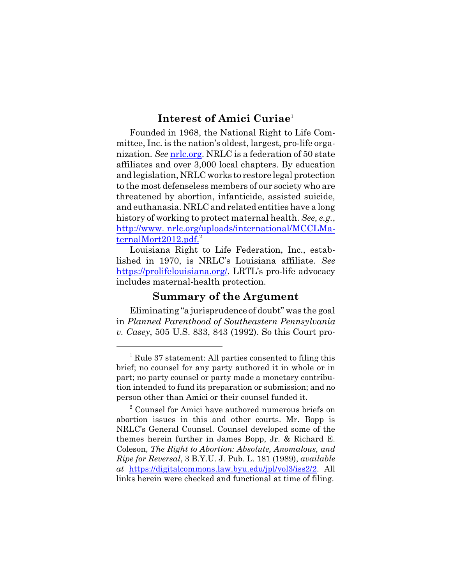## **Interest of Amici Curiae** 1

Founded in 1968, the National Right to Life Committee, Inc. is the nation's oldest, largest, pro-life organization. *See* nrlc.org. NRLC is a federation of 50 state affiliates and over 3,000 local chapters. By education and legislation, NRLC works to restore legal protection to the most defenseless members of our society who are threatened by abortion, infanticide, assisted suicide, and euthanasia. NRLC and related entities have a long history of working to protect maternal health. *See, e.g.*, http://www. nrlc.org/uploads/international/MCCLMaternalMort2012.pdf. $^{2}$ 

Louisiana Right to Life Federation, Inc., established in 1970, is NRLC's Louisiana affiliate. *See* https://prolifelouisiana.org/. LRTL's pro-life advocacy includes maternal-health protection.

#### **Summary of the Argument**

Eliminating "a jurisprudence of doubt" was the goal in *Planned Parenthood of Southeastern Pennsylvania v. Casey*, 505 U.S. 833, 843 (1992). So this Court pro-

<sup>1</sup> Rule 37 statement: All parties consented to filing this brief; no counsel for any party authored it in whole or in part; no party counsel or party made a monetary contribution intended to fund its preparation or submission; and no person other than Amici or their counsel funded it.

<sup>&</sup>lt;sup>2</sup> Counsel for Amici have authored numerous briefs on abortion issues in this and other courts. Mr. Bopp is NRLC's General Counsel. Counsel developed some of the themes herein further in James Bopp, Jr. & Richard E. Coleson, *The Right to Abortion: Absolute, Anomalous, and Ripe for Reversal*, 3 B.Y.U. J. Pub. L. 181 (1989), *available at* https://digitalcommons.law.byu.edu/jpl/vol3/iss2/2. All links herein were checked and functional at time of filing.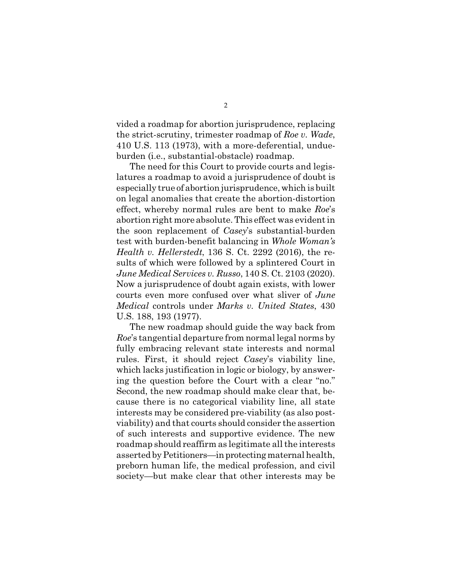vided a roadmap for abortion jurisprudence, replacing the strict-scrutiny, trimester roadmap of *Roe v. Wade*, 410 U.S. 113 (1973), with a more-deferential, undueburden (i.e., substantial-obstacle) roadmap.

The need for this Court to provide courts and legislatures a roadmap to avoid a jurisprudence of doubt is especially true of abortion jurisprudence, which is built on legal anomalies that create the abortion-distortion effect, whereby normal rules are bent to make *Roe*'s abortion right more absolute. This effect was evident in the soon replacement of *Casey*'s substantial-burden test with burden-benefit balancing in *Whole Woman's Health v. Hellerstedt*, 136 S. Ct. 2292 (2016), the results of which were followed by a splintered Court in *June Medical Services v. Russo*, 140 S. Ct. 2103 (2020). Now a jurisprudence of doubt again exists, with lower courts even more confused over what sliver of *June Medical* controls under *Marks v. United States*, 430 U.S. 188, 193 (1977).

The new roadmap should guide the way back from *Roe*'s tangential departure from normal legal norms by fully embracing relevant state interests and normal rules. First, it should reject *Casey*'s viability line, which lacks justification in logic or biology, by answering the question before the Court with a clear "no." Second, the new roadmap should make clear that, because there is no categorical viability line, all state interests may be considered pre-viability (as also postviability) and that courts should consider the assertion of such interests and supportive evidence. The new roadmap should reaffirm as legitimate all the interests asserted by Petitioners—in protecting maternal health, preborn human life, the medical profession, and civil society—but make clear that other interests may be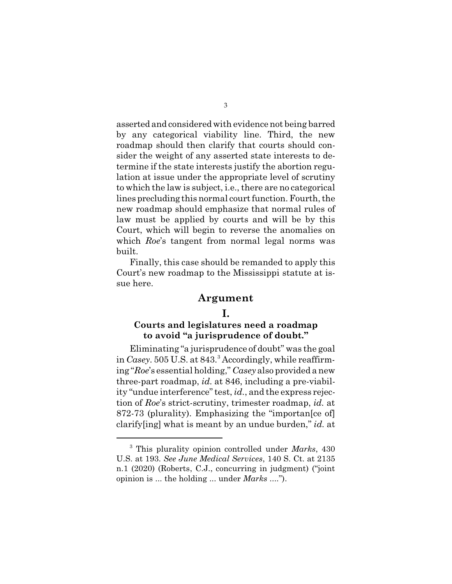asserted and considered with evidence not being barred by any categorical viability line. Third, the new roadmap should then clarify that courts should consider the weight of any asserted state interests to determine if the state interests justify the abortion regulation at issue under the appropriate level of scrutiny to which the law is subject, i.e., there are no categorical lines precluding this normal court function. Fourth, the new roadmap should emphasize that normal rules of law must be applied by courts and will be by this Court, which will begin to reverse the anomalies on which *Roe*'s tangent from normal legal norms was built.

Finally, this case should be remanded to apply this Court's new roadmap to the Mississippi statute at issue here.

#### **Argument**

#### **I.**

#### **Courts and legislatures need a roadmap to avoid "a jurisprudence of doubt."**

Eliminating "a jurisprudence of doubt" was the goal in *Casey*. 505 U.S. at 843.<sup>3</sup> Accordingly, while reaffirming "*Roe*'s essential holding," *Casey* also provided a new three-part roadmap, *id.* at 846, including a pre-viability "undue interference" test, *id.*, and the express rejection of *Roe*'s strict-scrutiny, trimester roadmap, *id.* at 872-73 (plurality). Emphasizing the "importan[ce of] clarify[ing] what is meant by an undue burden," *id.* at

<sup>3</sup> This plurality opinion controlled under *Marks*, 430 U.S. at 193. *See June Medical Services*, 140 S. Ct. at 2135 n.1 (2020) (Roberts, C.J., concurring in judgment) ("joint opinion is ... the holding ... under *Marks* ....").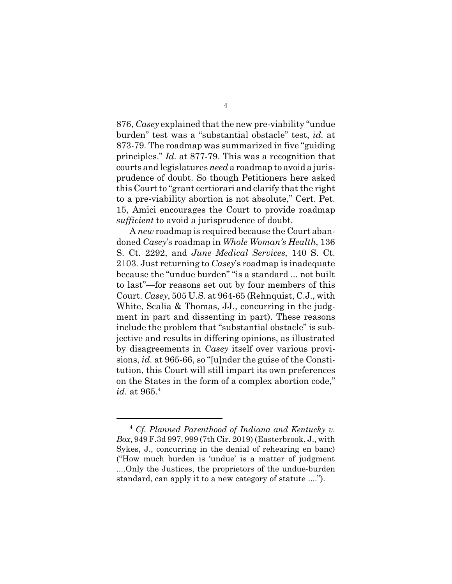876, *Casey* explained that the new pre-viability "undue burden" test was a "substantial obstacle" test, *id.* at 873-79. The roadmap was summarized in five "guiding principles." *Id.* at 877-79. This was a recognition that courts and legislatures *need* a roadmap to avoid a jurisprudence of doubt. So though Petitioners here asked this Court to "grant certiorari and clarify that the right to a pre-viability abortion is not absolute," Cert. Pet. 15, Amici encourages the Court to provide roadmap *sufficient* to avoid a jurisprudence of doubt.

A *new* roadmap is required because the Court abandoned *Casey*'s roadmap in *Whole Woman's Health*, 136 S. Ct. 2292, and *June Medical Services*, 140 S. Ct. 2103. Just returning to *Casey*'s roadmap is inadequate because the "undue burden" "is a standard ... not built to last"—for reasons set out by four members of this Court. *Casey*, 505 U.S. at 964-65 (Rehnquist, C.J., with White, Scalia & Thomas, JJ., concurring in the judgment in part and dissenting in part). These reasons include the problem that "substantial obstacle" is subjective and results in differing opinions, as illustrated by disagreements in *Casey* itself over various provisions, *id.* at 965-66, so "[u]nder the guise of the Constitution, this Court will still impart its own preferences on the States in the form of a complex abortion code," *id.* at 965.<sup>4</sup>

<sup>4</sup> *Cf. Planned Parenthood of Indiana and Kentucky v. Box*, 949 F.3d 997, 999 (7th Cir. 2019) (Easterbrook, J., with Sykes, J., concurring in the denial of rehearing en banc) ("How much burden is 'undue' is a matter of judgment ....Only the Justices, the proprietors of the undue-burden standard, can apply it to a new category of statute ....").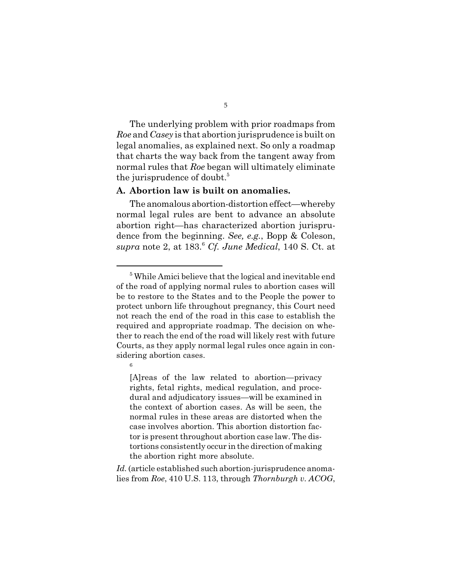The underlying problem with prior roadmaps from *Roe* and *Casey* is that abortion jurisprudence is built on legal anomalies, as explained next. So only a roadmap that charts the way back from the tangent away from normal rules that *Roe* began will ultimately eliminate the jurisprudence of doubt.<sup>5</sup>

#### **A. Abortion law is built on anomalies.**

The anomalous abortion-distortion effect—whereby normal legal rules are bent to advance an absolute abortion right—has characterized abortion jurisprudence from the beginning. *See, e.g.*, Bopp & Coleson, *supra* note 2, at 183.<sup>6</sup> *Cf. June Medical*, 140 S. Ct. at

6

[A]reas of the law related to abortion—privacy rights, fetal rights, medical regulation, and procedural and adjudicatory issues—will be examined in the context of abortion cases. As will be seen, the normal rules in these areas are distorted when the case involves abortion. This abortion distortion factor is present throughout abortion case law. The distortions consistently occur in the direction of making the abortion right more absolute.

*Id.* (article established such abortion-jurisprudence anomalies from *Roe*, 410 U.S. 113, through *Thornburgh v. ACOG*,

<sup>&</sup>lt;sup>5</sup> While Amici believe that the logical and inevitable end of the road of applying normal rules to abortion cases will be to restore to the States and to the People the power to protect unborn life throughout pregnancy, this Court need not reach the end of the road in this case to establish the required and appropriate roadmap. The decision on whether to reach the end of the road will likely rest with future Courts, as they apply normal legal rules once again in considering abortion cases.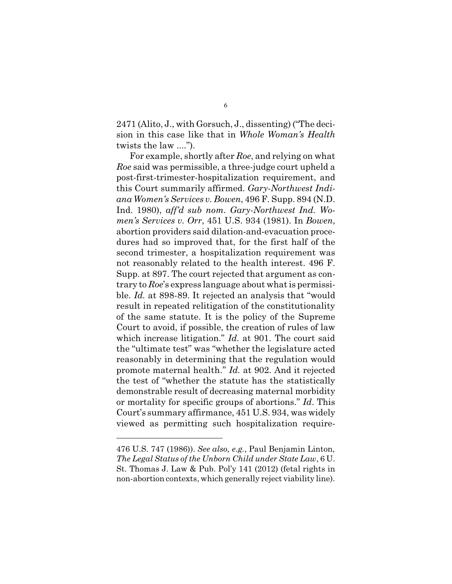2471 (Alito, J., with Gorsuch, J., dissenting) ("The decision in this case like that in *Whole Woman's Health* twists the law ....").

For example, shortly after *Roe*, and relying on what *Roe* said was permissible, a three-judge court upheld a post-first-trimester-hospitalization requirement, and this Court summarily affirmed. *Gary-Northwest Indiana Women's Services v. Bowen*, 496 F. Supp. 894 (N.D. Ind. 1980), *aff'd sub nom. Gary-Northwest Ind. Women's Services v. Orr*, 451 U.S. 934 (1981). In *Bowen*, abortion providers said dilation-and-evacuation procedures had so improved that, for the first half of the second trimester, a hospitalization requirement was not reasonably related to the health interest. 496 F. Supp. at 897. The court rejected that argument as contrary to *Roe*'s express language about what is permissible. *Id.* at 898-89. It rejected an analysis that "would result in repeated relitigation of the constitutionality of the same statute. It is the policy of the Supreme Court to avoid, if possible, the creation of rules of law which increase litigation." *Id.* at 901. The court said the "ultimate test" was "whether the legislature acted reasonably in determining that the regulation would promote maternal health." *Id.* at 902. And it rejected the test of "whether the statute has the statistically demonstrable result of decreasing maternal morbidity or mortality for specific groups of abortions." *Id*. This Court's summary affirmance, 451 U.S. 934, was widely viewed as permitting such hospitalization require-

<sup>476</sup> U.S. 747 (1986)). *See also, e.g.*, Paul Benjamin Linton, *The Legal Status of the Unborn Child under State Law*, 6 U. St. Thomas J. Law & Pub. Pol'y 141 (2012) (fetal rights in non-abortion contexts, which generally reject viability line).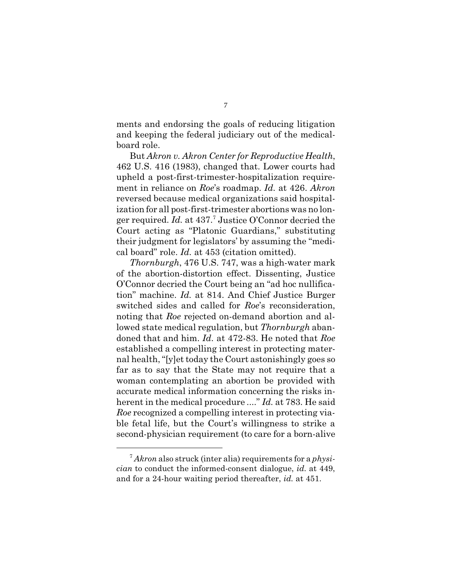ments and endorsing the goals of reducing litigation and keeping the federal judiciary out of the medicalboard role.

But *Akron v. Akron Center for Reproductive Health*, 462 U.S. 416 (1983), changed that. Lower courts had upheld a post-first-trimester-hospitalization requirement in reliance on *Roe*'s roadmap. *Id.* at 426. *Akron* reversed because medical organizations said hospitalization for all post-first-trimester abortions was no longer required. *Id.* at 437.<sup>7</sup> Justice O'Connor decried the Court acting as "Platonic Guardians," substituting their judgment for legislators' by assuming the "medical board" role. *Id.* at 453 (citation omitted).

*Thornburgh*, 476 U.S. 747, was a high-water mark of the abortion-distortion effect. Dissenting, Justice O'Connor decried the Court being an "ad hoc nullification" machine. *Id.* at 814. And Chief Justice Burger switched sides and called for *Roe*'s reconsideration, noting that *Roe* rejected on-demand abortion and allowed state medical regulation, but *Thornburgh* abandoned that and him. *Id.* at 472-83. He noted that *Roe* established a compelling interest in protecting maternal health,"[y]et today the Court astonishingly goes so far as to say that the State may not require that a woman contemplating an abortion be provided with accurate medical information concerning the risks inherent in the medical procedure ...." *Id.* at 783. He said *Roe* recognized a compelling interest in protecting viable fetal life, but the Court's willingness to strike a second-physician requirement (to care for a born-alive

<sup>7</sup> *Akron* also struck (inter alia) requirements for a *physician* to conduct the informed-consent dialogue, *id.* at 449, and for a 24-hour waiting period thereafter, *id.* at 451.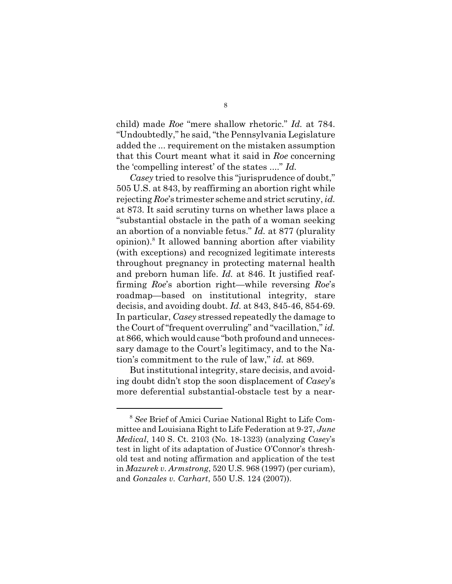child) made *Roe* "mere shallow rhetoric." *Id.* at 784. "Undoubtedly," he said, "the Pennsylvania Legislature added the ... requirement on the mistaken assumption that this Court meant what it said in *Roe* concerning the 'compelling interest' of the states ...." *Id.*

*Casey* tried to resolve this "jurisprudence of doubt," 505 U.S. at 843, by reaffirming an abortion right while rejecting *Roe*'s trimester scheme and strict scrutiny, *id.* at 873. It said scrutiny turns on whether laws place a "substantial obstacle in the path of a woman seeking an abortion of a nonviable fetus." *Id.* at 877 (plurality opinion).<sup>8</sup> It allowed banning abortion after viability (with exceptions) and recognized legitimate interests throughout pregnancy in protecting maternal health and preborn human life. *Id.* at 846. It justified reaffirming *Roe*'s abortion right—while reversing *Roe*'s roadmap—based on institutional integrity, stare decisis, and avoiding doubt. *Id.* at 843, 845-46, 854-69. In particular, *Casey* stressed repeatedly the damage to the Court of "frequent overruling" and "vacillation," *id.* at 866, which would cause "both profound and unnecessary damage to the Court's legitimacy, and to the Nation's commitment to the rule of law," *id.* at 869.

Butinstitutional integrity, stare decisis, and avoiding doubt didn't stop the soon displacement of *Casey*'s more deferential substantial-obstacle test by a near-

<sup>8</sup> *See* Brief of Amici Curiae National Right to Life Committee and Louisiana Right to Life Federation at 9-27, *June Medical*, 140 S. Ct. 2103 (No. 18-1323) (analyzing *Casey*'s test in light of its adaptation of Justice O'Connor's threshold test and noting affirmation and application of the test in *Mazurek v. Armstrong*, 520 U.S. 968 (1997) (per curiam), and *Gonzales v. Carhart*, 550 U.S. 124 (2007)).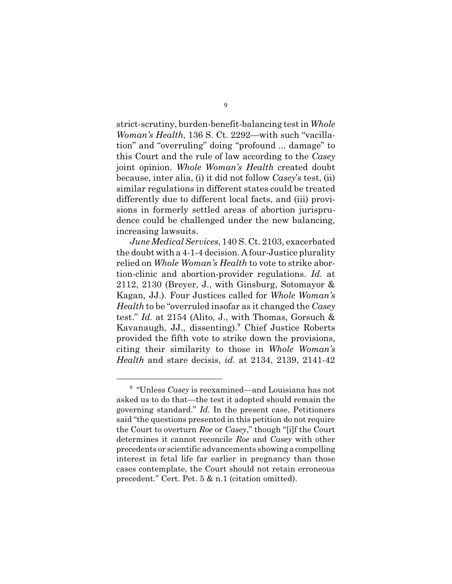strict-scrutiny, burden-benefit-balancing test in *Whole Woman's Health*, 136 S. Ct. 2292—with such "vacillation" and "overruling" doing "profound ... damage" to this Court and the rule of law according to the *Casey* joint opinion. *Whole Woman's Health* created doubt because, inter alia, (i) it did not follow *Casey*'s test, (ii) similar regulations in different states could be treated differently due to different local facts, and (iii) provisions in formerly settled areas of abortion jurisprudence could be challenged under the new balancing, increasing lawsuits.

*June Medical Services*, 140 S. Ct. 2103, exacerbated the doubt with a 4-1-4 decision. A four-Justice plurality relied on *Whole Woman's Health* to vote to strike abortion-clinic and abortion-provider regulations. *Id.* at 2112, 2130 (Breyer, J., with Ginsburg, Sotomayor & Kagan, JJ.). Four Justices called for *Whole Woman's Health* to be "overruled insofar as it changed the *Casey* test." *Id.* at 2154 (Alito, J., with Thomas, Gorsuch & Kavanaugh, JJ., dissenting).<sup>9</sup> Chief Justice Roberts provided the fifth vote to strike down the provisions, citing their similarity to those in *Whole Woman's Health* and stare decisis, *id.* at 2134, 2139, 2141-42

<sup>9</sup> "Unless *Casey* is reexamined—and Louisiana has not asked us to do that—the test it adopted should remain the governing standard." *Id.* In the present case, Petitioners said "the questions presented in this petition do not require the Court to overturn *Roe* or *Casey*," though "[i]f the Court determines it cannot reconcile *Roe* and *Casey* with other precedents or scientific advancements showing a compelling interest in fetal life far earlier in pregnancy than those cases contemplate, the Court should not retain erroneous precedent." Cert. Pet. 5 & n.1 (citation omitted).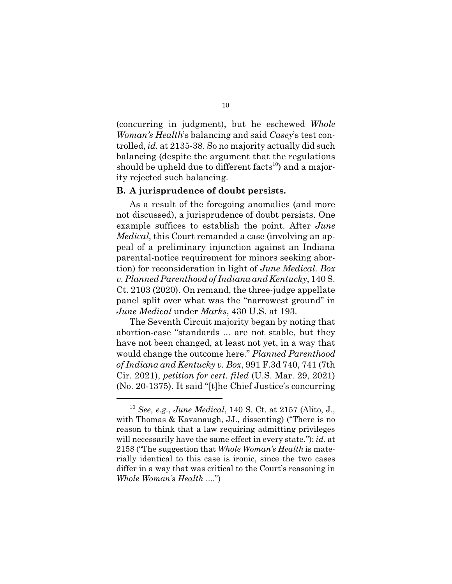(concurring in judgment), but he eschewed *Whole Woman's Health*'s balancing and said *Casey*'s test controlled, *id.* at 2135-38. So no majority actually did such balancing (despite the argument that the regulations should be upheld due to different  $facts^{10}$  and a majority rejected such balancing.

#### **B. A jurisprudence of doubt persists.**

As a result of the foregoing anomalies (and more not discussed), a jurisprudence of doubt persists. One example suffices to establish the point. After *June Medical*, this Court remanded a case (involving an appeal of a preliminary injunction against an Indiana parental-notice requirement for minors seeking abortion) for reconsideration in light of *June Medical*. *Box v.Planned Parenthood of Indiana and Kentucky*, 140 S. Ct. 2103 (2020). On remand, the three-judge appellate panel split over what was the "narrowest ground" in *June Medical* under *Marks*, 430 U.S. at 193.

The Seventh Circuit majority began by noting that abortion-case "standards ... are not stable, but they have not been changed, at least not yet, in a way that would change the outcome here." *Planned Parenthood of Indiana and Kentucky v. Box*, 991 F.3d 740, 741 (7th Cir. 2021), *petition for cert. filed* (U.S. Mar. 29, 2021) (No. 20-1375). It said "[t]he Chief Justice's concurring

<sup>10</sup> *See, e.g.*, *June Medical*, 140 S. Ct. at 2157 (Alito, J., with Thomas & Kavanaugh, JJ., dissenting) ("There is no reason to think that a law requiring admitting privileges will necessarily have the same effect in every state."); *id.* at 2158 ("The suggestion that *Whole Woman's Health* is materially identical to this case is ironic, since the two cases differ in a way that was critical to the Court's reasoning in *Whole Woman's Health* ....")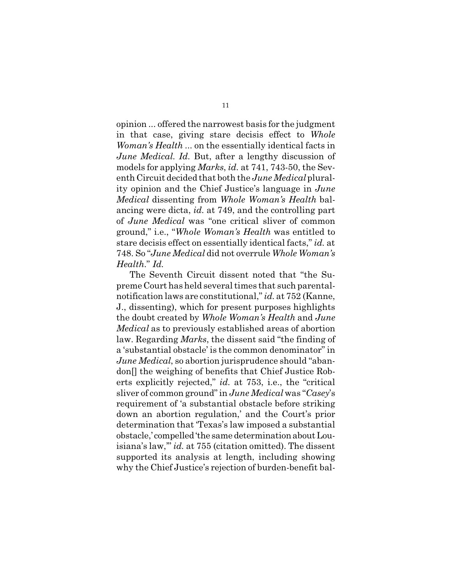opinion ... offered the narrowest basis for the judgment in that case, giving stare decisis effect to *Whole Woman's Health* ... on the essentially identical facts in *June Medical*. *Id.* But, after a lengthy discussion of models for applying *Marks*, *id.* at 741, 743-50, the Seventh Circuit decided that both the *June Medical*plurality opinion and the Chief Justice's language in *June Medical* dissenting from *Whole Woman's Health* balancing were dicta, *id.* at 749, and the controlling part of *June Medical* was "one critical sliver of common ground," i.e., "*Whole Woman's Health* was entitled to stare decisis effect on essentially identical facts," *id.* at 748. So "*June Medical* did not overrule *Whole Woman's Health*." *Id.*

The Seventh Circuit dissent noted that "the Supreme Court has held several times that such parentalnotification laws are constitutional," *id.* at 752 (Kanne, J., dissenting), which for present purposes highlights the doubt created by *Whole Woman's Health* and *June Medical* as to previously established areas of abortion law. Regarding *Marks*, the dissent said "the finding of a 'substantial obstacle' is the common denominator" in *June Medical*, so abortion jurisprudence should "abandon[] the weighing of benefits that Chief Justice Roberts explicitly rejected," *id.* at 753, i.e., the "critical sliver of common ground" in *June Medical* was "*Casey*'s requirement of 'a substantial obstacle before striking down an abortion regulation,' and the Court's prior determination that 'Texas's law imposed a substantial obstacle,' compelled'the same determinationaboutLouisiana's law,'" *id.* at 755 (citation omitted). The dissent supported its analysis at length, including showing why the Chief Justice's rejection of burden-benefit bal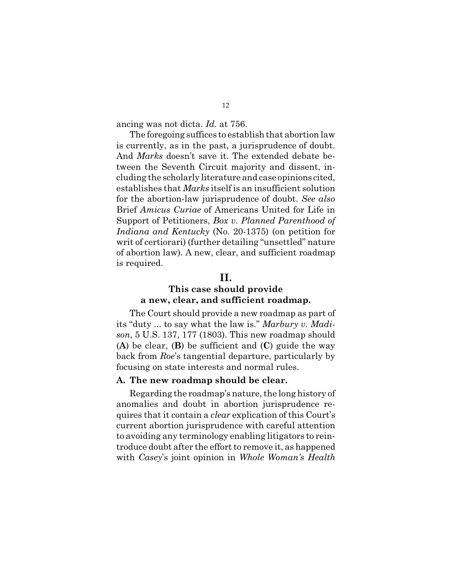ancing was not dicta. *Id.* at 756.

The foregoing suffices to establish that abortion law is currently, as in the past, a jurisprudence of doubt. And *Marks* doesn't save it. The extended debate between the Seventh Circuit majority and dissent, including the scholarly literature and case opinions cited, establishes that *Marks* itself is an insufficient solution for the abortion-law jurisprudence of doubt. *See also* Brief *Amicus Curiae* of Americans United for Life in Support of Petitioners, *Box v. Planned Parenthood of Indiana and Kentucky* (No. 20-1375) (on petition for writ of certiorari) (further detailing "unsettled" nature of abortion law). A new, clear, and sufficient roadmap is required.

#### **II.**

#### **This case should provide a new, clear, and sufficient roadmap.**

The Court should provide a new roadmap as part of its "duty ... to say what the law is." *Marbury v. Madison*, 5 U.S. 137, 177 (1803). This new roadmap should (**A**) be clear, (**B**) be sufficient and (**C**) guide the way back from *Roe*'s tangential departure, particularly by focusing on state interests and normal rules.

#### **A. The new roadmap should be clear.**

Regarding the roadmap's nature, the long history of anomalies and doubt in abortion jurisprudence requires that it contain a *clear* explication of this Court's current abortion jurisprudence with careful attention to avoiding any terminology enabling litigators to reintroduce doubt after the effort to remove it, as happened with *Casey*'s joint opinion in *Whole Woman's Health*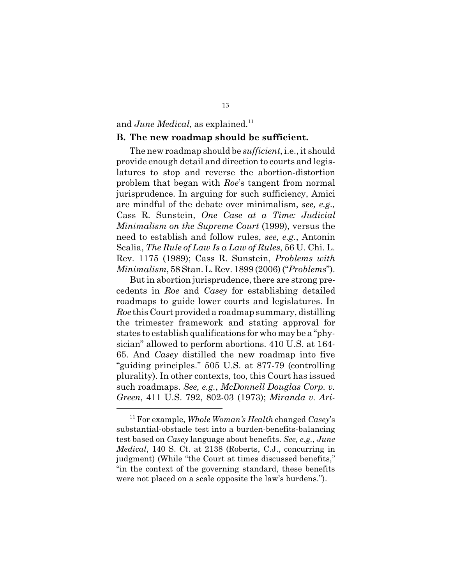#### and *June Medical*, as explained.<sup>11</sup>

#### **B. The new roadmap should be sufficient.**

The new roadmap should be *sufficient*, i.e., it should provide enough detail and direction to courts and legislatures to stop and reverse the abortion-distortion problem that began with *Roe*'s tangent from normal jurisprudence. In arguing for such sufficiency, Amici are mindful of the debate over minimalism, *see, e.g.,* Cass R. Sunstein, *One Case at a Time: Judicial Minimalism on the Supreme Court* (1999), versus the need to establish and follow rules, *see, e.g.*, Antonin Scalia, *The Rule of Law Is a Law of Rules*, 56 U. Chi. L. Rev. 1175 (1989); Cass R. Sunstein, *Problems with Minimalism*, 58 Stan.L. Rev. 1899 (2006) ("*Problems*").

But in abortion jurisprudence, there are strong precedents in *Roe* and *Casey* for establishing detailed roadmaps to guide lower courts and legislatures. In *Roe* this Court provided a roadmap summary, distilling the trimester framework and stating approval for states to establish qualifications for who may be a "physician" allowed to perform abortions. 410 U.S. at 164- 65. And *Casey* distilled the new roadmap into five "guiding principles." 505 U.S. at 877-79 (controlling plurality). In other contexts, too, this Court has issued such roadmaps. *See, e.g.*, *McDonnell Douglas Corp. v. Green*, 411 U.S. 792, 802-03 (1973); *Miranda v. Ari-*

<sup>11</sup> For example, *Whole Woman's Health* changed *Casey*'s substantial-obstacle test into a burden-benefits-balancing test based on *Casey* language about benefits. *See, e.g.*, *June Medical*, 140 S. Ct. at 2138 (Roberts, C.J., concurring in judgment) (While "the Court at times discussed benefits," "in the context of the governing standard, these benefits were not placed on a scale opposite the law's burdens.").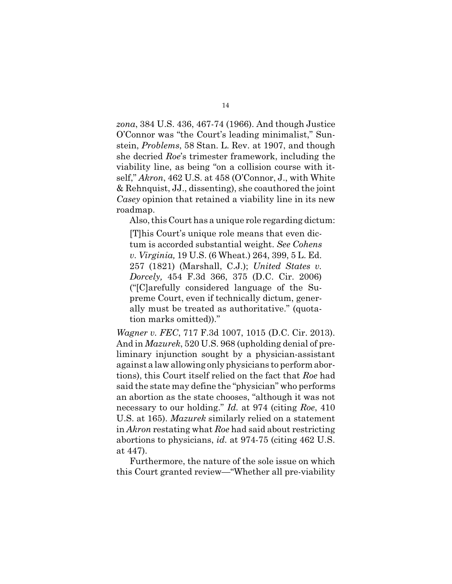*zona*, 384 U.S. 436, 467-74 (1966). And though Justice O'Connor was "the Court's leading minimalist," Sunstein, *Problems*, 58 Stan. L. Rev. at 1907, and though she decried *Roe*'s trimester framework, including the viability line, as being "on a collision course with itself," *Akron*, 462 U.S. at 458 (O'Connor, J., with White & Rehnquist, JJ., dissenting), she coauthored the joint *Casey* opinion that retained a viability line in its new roadmap.

Also, this Court has a unique role regarding dictum:

[T]his Court's unique role means that even dictum is accorded substantial weight. *See Cohens v. Virginia,* 19 U.S. (6 Wheat.) 264, 399, 5 L. Ed. 257 (1821) (Marshall, C.J.); *United States v. Dorcely,* 454 F.3d 366, 375 (D.C. Cir. 2006) ("[C]arefully considered language of the Supreme Court, even if technically dictum, generally must be treated as authoritative." (quotation marks omitted))."

*Wagner v. FEC*, 717 F.3d 1007, 1015 (D.C. Cir. 2013). And in *Mazurek*, 520 U.S. 968 (upholding denial of preliminary injunction sought by a physician-assistant against a law allowing only physicians to performabortions), this Court itself relied on the fact that *Roe* had said the state may define the "physician" who performs an abortion as the state chooses, "although it was not necessary to our holding." *Id.* at 974 (citing *Roe*, 410 U.S. at 165). *Mazurek* similarly relied on a statement in *Akron* restating what *Roe* had said about restricting abortions to physicians, *id.* at 974-75 (citing 462 U.S. at 447).

Furthermore, the nature of the sole issue on which this Court granted review—"Whether all pre-viability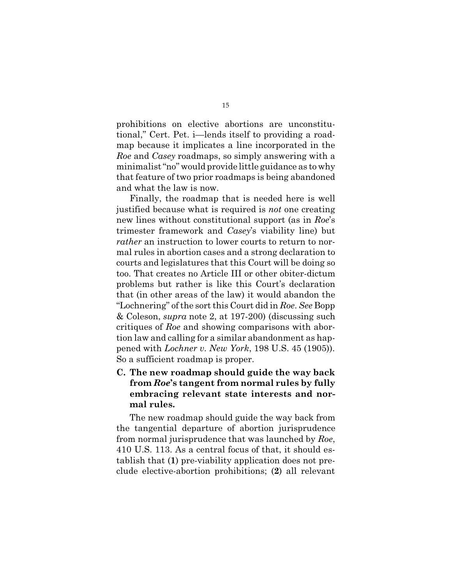prohibitions on elective abortions are unconstitutional," Cert. Pet. i—lends itself to providing a roadmap because it implicates a line incorporated in the *Roe* and *Casey* roadmaps, so simply answering with a minimalist"no" would provide little guidance as to why that feature of two prior roadmaps is being abandoned and what the law is now.

Finally, the roadmap that is needed here is well justified because what is required is *not* one creating new lines without constitutional support (as in *Roe*'s trimester framework and *Casey*'s viability line) but *rather* an instruction to lower courts to return to normal rules in abortion cases and a strong declaration to courts and legislatures that this Court will be doing so too. That creates no Article III or other obiter-dictum problems but rather is like this Court's declaration that (in other areas of the law) it would abandon the "Lochnering" ofthe sortthis Court did in *Roe*. *See* Bopp & Coleson, *supra* note 2, at 197-200) (discussing such critiques of *Roe* and showing comparisons with abortion law and calling for a similar abandonment as happened with *Lochner v. New York*, 198 U.S. 45 (1905)). So a sufficient roadmap is proper.

**C. The new roadmap should guide the way back from** *Roe***'s tangent from normal rules by fully embracing relevant state interests and normal rules.** 

The new roadmap should guide the way back from the tangential departure of abortion jurisprudence from normal jurisprudence that was launched by *Roe*, 410 U.S. 113. As a central focus of that, it should establish that (**1**) pre-viability application does not preclude elective-abortion prohibitions; (**2**) all relevant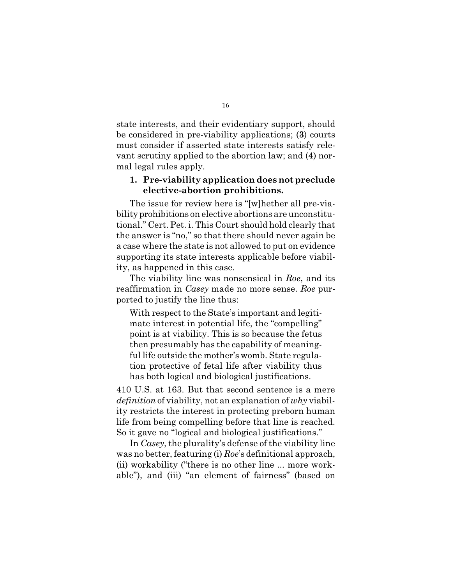state interests, and their evidentiary support, should be considered in pre-viability applications; (**3**) courts must consider if asserted state interests satisfy relevant scrutiny applied to the abortion law; and (**4**) normal legal rules apply.

### **1. Pre-viability application doesnotpreclude elective-abortion prohibitions.**

The issue for review here is "[w]hether all pre-viability prohibitions on elective abortions are unconstitutional." Cert. Pet. i. This Court should hold clearly that the answer is "no," so that there should never again be a case where the state is not allowed to put on evidence supporting its state interests applicable before viability, as happened in this case.

The viability line was nonsensical in *Roe*, and its reaffirmation in *Casey* made no more sense. *Roe* purported to justify the line thus:

With respect to the State's important and legitimate interest in potential life, the "compelling" point is at viability. This is so because the fetus then presumably has the capability of meaningful life outside the mother's womb. State regulation protective of fetal life after viability thus has both logical and biological justifications.

410 U.S. at 163. But that second sentence is a mere *definition* of viability, not an explanation of *why* viability restricts the interest in protecting preborn human life from being compelling before that line is reached. So it gave no "logical and biological justifications."

In *Casey*, the plurality's defense of the viability line was no better, featuring (i) *Roe*'s definitional approach, (ii) workability ("there is no other line ... more workable"), and (iii) "an element of fairness" (based on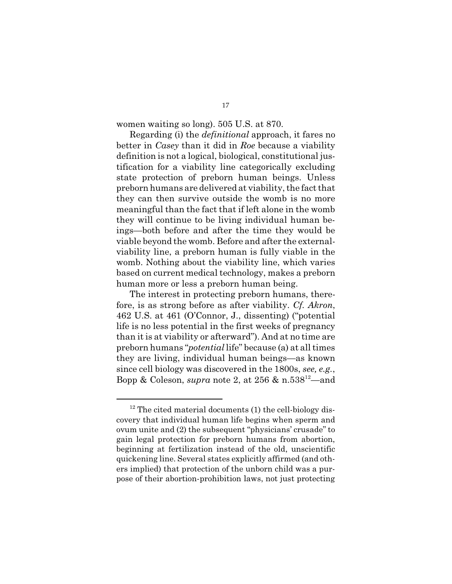women waiting so long). 505 U.S. at 870.

Regarding (i) the *definitional* approach, it fares no better in *Casey* than it did in *Roe* because a viability definition is not a logical, biological, constitutional justification for a viability line categorically excluding state protection of preborn human beings. Unless preborn humans are delivered at viability, the fact that they can then survive outside the womb is no more meaningful than the fact that if left alone in the womb they will continue to be living individual human beings—both before and after the time they would be viable beyond the womb. Before and after the externalviability line, a preborn human is fully viable in the womb. Nothing about the viability line, which varies based on current medical technology, makes a preborn human more or less a preborn human being.

The interest in protecting preborn humans, therefore, is as strong before as after viability. *Cf. Akron*, 462 U.S. at 461 (O'Connor, J., dissenting) ("potential life is no less potential in the first weeks of pregnancy than it is at viability or afterward"). And at no time are preborn humans "*potential* life" because (a) at alltimes they are living, individual human beings—as known since cell biology was discovered in the 1800s, *see, e.g.*, Bopp & Coleson, *supra* note 2, at 256 & n.538<sup>12</sup>—and

 $12$  The cited material documents (1) the cell-biology discovery that individual human life begins when sperm and ovum unite and (2) the subsequent "physicians' crusade" to gain legal protection for preborn humans from abortion, beginning at fertilization instead of the old, unscientific quickening line. Several states explicitly affirmed (and others implied) that protection of the unborn child was a purpose of their abortion-prohibition laws, not just protecting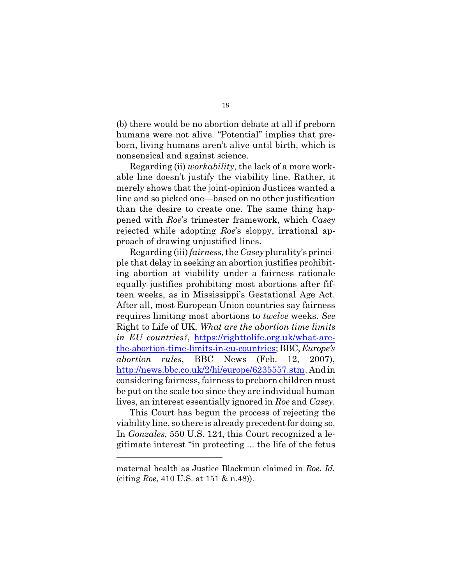(b) there would be no abortion debate at all if preborn humans were not alive. "Potential" implies that preborn, living humans aren't alive until birth, which is nonsensical and against science.

Regarding (ii) *workability*, the lack of a more workable line doesn't justify the viability line. Rather, it merely shows that the joint-opinion Justices wanted a line and so picked one—based on no other justification than the desire to create one. The same thing happened with *Roe*'s trimester framework, which *Casey* rejected while adopting *Roe*'s sloppy, irrational approach of drawing unjustified lines.

Regarding (iii) *fairness*, the *Casey*plurality's principle that delay in seeking an abortion justifies prohibiting abortion at viability under a fairness rationale equally justifies prohibiting most abortions after fifteen weeks, as in Mississippi's Gestational Age Act. After all, most European Union countries say fairness requires limiting most abortions to *twelve* weeks. *See* Right to Life of UK, *What are the abortion time limits in EU countries?*, https://righttolife.org.uk/what-arethe-abortion-time-limits-in-eu-countries;BBC,*Europe's abortion rules*, BBC News (Feb. 12, 2007), http://news.bbc.co.uk/2/hi/europe/6235557.stm. And in considering fairness, fairness to preborn children must be put on the scale too since they are individual human lives, an interest essentially ignored in *Roe* and *Casey*.

This Court has begun the process of rejecting the viability line, so there is already precedent for doing so. In *Gonzales*, 550 U.S. 124, this Court recognized a legitimate interest "in protecting ... the life of the fetus

maternal health as Justice Blackmun claimed in *Roe*. *Id.* (citing *Roe*, 410 U.S. at 151 & n.48)).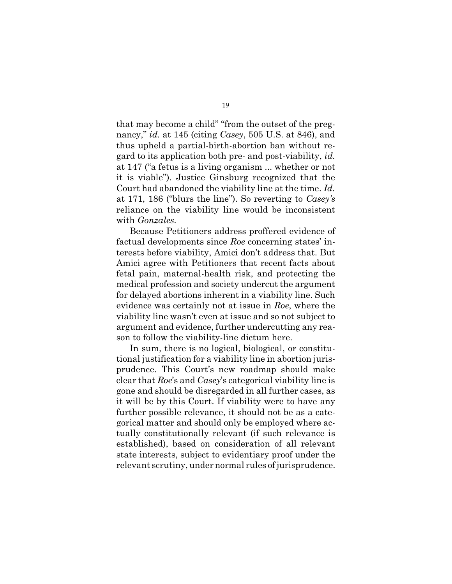that may become a child" "from the outset of the pregnancy," *id.* at 145 (citing *Casey*, 505 U.S. at 846), and thus upheld a partial-birth-abortion ban without regard to its application both pre- and post-viability, *id.* at 147 ("a fetus is a living organism ... whether or not it is viable"). Justice Ginsburg recognized that the Court had abandoned the viability line at the time. *Id.* at 171, 186 ("blurs the line"). So reverting to *Casey's* reliance on the viability line would be inconsistent with *Gonzales*.

Because Petitioners address proffered evidence of factual developments since *Roe* concerning states' interests before viability, Amici don't address that. But Amici agree with Petitioners that recent facts about fetal pain, maternal-health risk, and protecting the medical profession and society undercut the argument for delayed abortions inherent in a viability line. Such evidence was certainly not at issue in *Roe*, where the viability line wasn't even at issue and so not subject to argument and evidence, further undercutting any reason to follow the viability-line dictum here.

In sum, there is no logical, biological, or constitutional justification for a viability line in abortion jurisprudence. This Court's new roadmap should make clear that *Roe*'s and *Casey*'s categorical viability line is gone and should be disregarded in all further cases, as it will be by this Court. If viability were to have any further possible relevance, it should not be as a categorical matter and should only be employed where actually constitutionally relevant (if such relevance is established), based on consideration of all relevant state interests, subject to evidentiary proof under the relevant scrutiny, under normal rules of jurisprudence.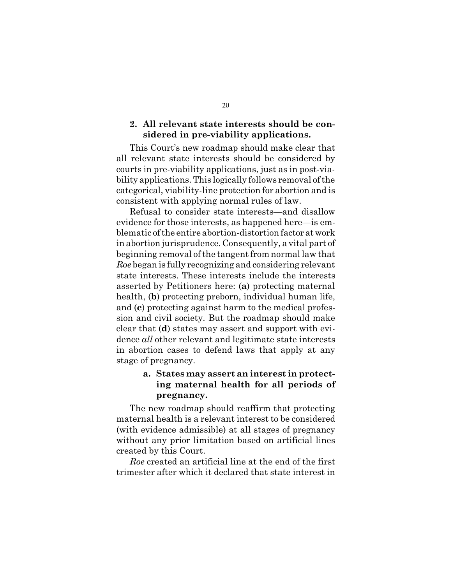#### **2. All relevant state interests should be considered in pre-viability applications.**

This Court's new roadmap should make clear that all relevant state interests should be considered by courts in pre-viability applications, just as in post-viability applications. This logically follows removal of the categorical, viability-line protection for abortion and is consistent with applying normal rules of law.

Refusal to consider state interests—and disallow evidence for those interests, as happened here—is emblematic of the entire abortion-distortion factor atwork in abortion jurisprudence. Consequently, a vital part of beginning removal of the tangent from normal law that *Roe* began is fully recognizing and considering relevant state interests. These interests include the interests asserted by Petitioners here: (**a**) protecting maternal health, (**b**) protecting preborn, individual human life, and (**c**) protecting against harm to the medical profession and civil society. But the roadmap should make clear that (**d**) states may assert and support with evidence *all* other relevant and legitimate state interests in abortion cases to defend laws that apply at any stage of pregnancy.

## **a. States may assert an interest in protecting maternal health for all periods of pregnancy.**

The new roadmap should reaffirm that protecting maternal health is a relevant interest to be considered (with evidence admissible) at all stages of pregnancy without any prior limitation based on artificial lines created by this Court.

*Roe* created an artificial line at the end of the first trimester after which it declared that state interest in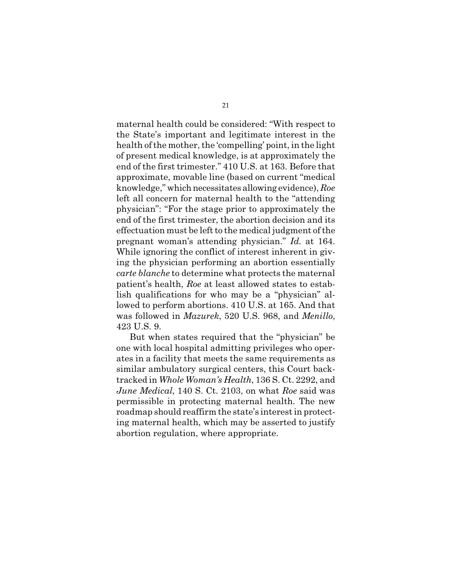maternal health could be considered: "With respect to the State's important and legitimate interest in the health of the mother, the 'compelling' point, in the light of present medical knowledge, is at approximately the end of the first trimester." 410 U.S. at 163. Before that approximate, movable line (based on current "medical knowledge," which necessitates allowing evidence), *Roe* left all concern for maternal health to the "attending physician": "For the stage prior to approximately the end of the first trimester, the abortion decision and its effectuation must be left to the medical judgment of the pregnant woman's attending physician." *Id.* at 164. While ignoring the conflict of interest inherent in giving the physician performing an abortion essentially *carte blanche* to determine what protects the maternal patient's health, *Roe* at least allowed states to establish qualifications for who may be a "physician" allowed to perform abortions. 410 U.S. at 165. And that was followed in *Mazurek*, 520 U.S. 968, and *Menillo*, 423 U.S. 9.

But when states required that the "physician" be one with local hospital admitting privileges who operates in a facility that meets the same requirements as similar ambulatory surgical centers, this Court backtracked in *Whole Woman's Health*, 136 S. Ct. 2292, and *June Medical*, 140 S. Ct. 2103, on what *Roe* said was permissible in protecting maternal health. The new roadmap should reaffirm the state's interest in protecting maternal health, which may be asserted to justify abortion regulation, where appropriate.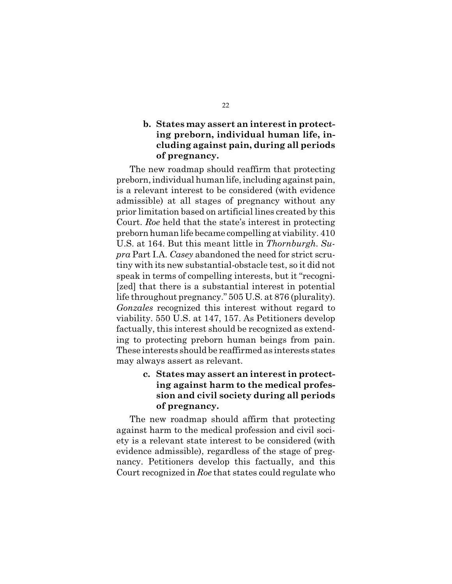#### **b. States may assert an interest in protecting preborn, individual human life, including against pain, during all periods of pregnancy.**

The new roadmap should reaffirm that protecting preborn,individual humanlife, including against pain, is a relevant interest to be considered (with evidence admissible) at all stages of pregnancy without any prior limitation based on artificial lines created by this Court. *Roe* held that the state's interest in protecting prebornhuman life became compelling at viability. 410 U.S. at 164. But this meant little in *Thornburgh*. *Supra* Part I.A. *Casey* abandoned the need for strict scrutiny with its new substantial-obstacle test, so it did not speak in terms of compelling interests, but it "recogni- [zed] that there is a substantial interest in potential life throughout pregnancy." 505 U.S. at 876 (plurality). *Gonzales* recognized this interest without regard to viability. 550 U.S. at 147, 157. As Petitioners develop factually, this interest should be recognized as extending to protecting preborn human beings from pain. These interests should be reaffirmed as interests states may always assert as relevant.

## **c. States may assert an interest in protecting against harm to the medical profession and civil society during all periods of pregnancy.**

The new roadmap should affirm that protecting against harm to the medical profession and civil society is a relevant state interest to be considered (with evidence admissible), regardless of the stage of pregnancy. Petitioners develop this factually, and this Court recognized in *Roe* that states could regulate who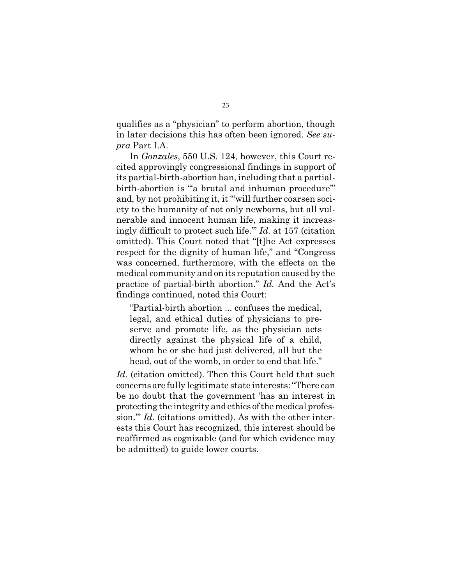qualifies as a "physician" to perform abortion, though in later decisions this has often been ignored. *See supra* Part I.A.

In *Gonzales*, 550 U.S. 124, however, this Court recited approvingly congressional findings in support of its partial-birth-abortion ban, including that a partialbirth-abortion is "a brutal and inhuman procedure" and, by not prohibiting it, it "'will further coarsen society to the humanity of not only newborns, but all vulnerable and innocent human life, making it increasingly difficult to protect such life.'" *Id.* at 157 (citation omitted). This Court noted that "[t]he Act expresses respect for the dignity of human life," and "Congress was concerned, furthermore, with the effects on the medical community and on its reputation caused by the practice of partial-birth abortion." *Id.* And the Act's findings continued, noted this Court:

"Partial-birth abortion ... confuses the medical, legal, and ethical duties of physicians to preserve and promote life, as the physician acts directly against the physical life of a child, whom he or she had just delivered, all but the head, out of the womb, in order to end that life."

Id. (citation omitted). Then this Court held that such concerns are fully legitimate state interests: "There can be no doubt that the government 'has an interest in protecting the integrity andethics ofthe medical profession." *Id.* (citations omitted). As with the other interests this Court has recognized, this interest should be reaffirmed as cognizable (and for which evidence may be admitted) to guide lower courts.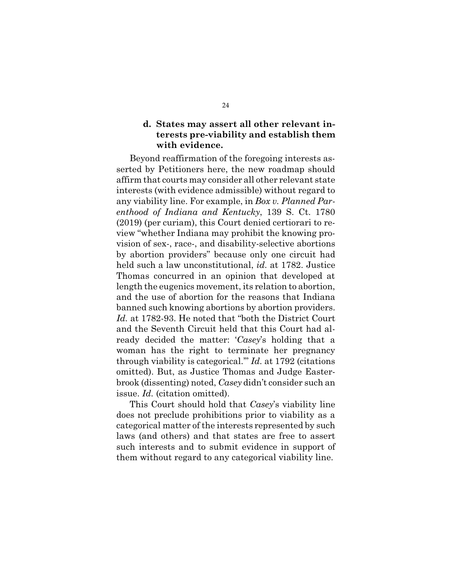#### **d. States may assert all other relevant interests pre-viability and establish them with evidence.**

Beyond reaffirmation of the foregoing interests asserted by Petitioners here, the new roadmap should affirm that courts may consider all other relevant state interests (with evidence admissible) without regard to any viability line. For example, in *Box v. Planned Parenthood of Indiana and Kentucky*, 139 S. Ct. 1780 (2019) (per curiam), this Court denied certiorari to review "whether Indiana may prohibit the knowing provision of sex-, race-, and disability-selective abortions by abortion providers" because only one circuit had held such a law unconstitutional, *id.* at 1782. Justice Thomas concurred in an opinion that developed at length the eugenics movement, its relation to abortion, and the use of abortion for the reasons that Indiana banned such knowing abortions by abortion providers. *Id.* at 1782-93. He noted that "both the District Court and the Seventh Circuit held that this Court had already decided the matter: '*Casey*'s holding that a woman has the right to terminate her pregnancy through viability is categorical.'" *Id.* at 1792 (citations omitted). But, as Justice Thomas and Judge Easterbrook (dissenting) noted, *Casey* didn't consider such an issue. *Id.* (citation omitted).

This Court should hold that *Casey*'s viability line does not preclude prohibitions prior to viability as a categorical matter of the interests represented by such laws (and others) and that states are free to assert such interests and to submit evidence in support of them without regard to any categorical viability line.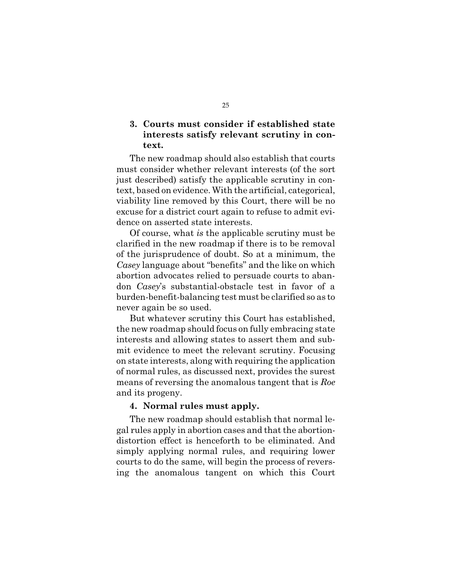### **3. Courts must consider if established state interests satisfy relevant scrutiny in context.**

The new roadmap should also establish that courts must consider whether relevant interests (of the sort just described) satisfy the applicable scrutiny in context, based on evidence. With the artificial, categorical, viability line removed by this Court, there will be no excuse for a district court again to refuse to admit evidence on asserted state interests.

Of course, what *is* the applicable scrutiny must be clarified in the new roadmap if there is to be removal of the jurisprudence of doubt. So at a minimum, the *Casey* language about "benefits" and the like on which abortion advocates relied to persuade courts to abandon *Casey*'s substantial-obstacle test in favor of a burden-benefit-balancing test must be clarified so as to never again be so used.

But whatever scrutiny this Court has established, the new roadmap should focus on fully embracing state interests and allowing states to assert them and submit evidence to meet the relevant scrutiny. Focusing on state interests, along with requiring the application of normal rules, as discussed next, provides the surest means of reversing the anomalous tangent that is *Roe* and its progeny.

#### **4. Normal rules must apply.**

The new roadmap should establish that normal legal rules apply in abortion cases and that the abortiondistortion effect is henceforth to be eliminated. And simply applying normal rules, and requiring lower courts to do the same, will begin the process of reversing the anomalous tangent on which this Court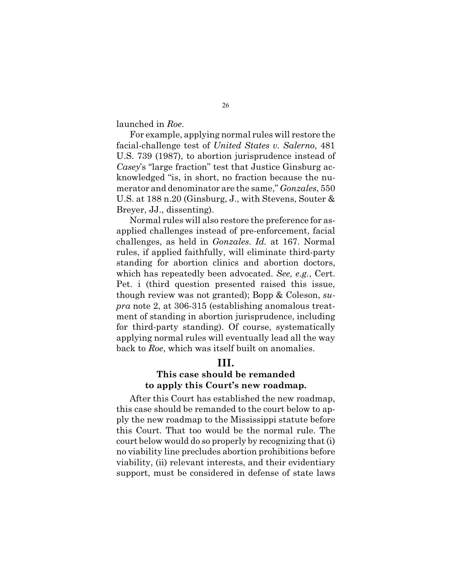launched in *Roe*.

For example, applying normal rules will restore the facial-challenge test of *United States v. Salerno*, 481 U.S. 739 (1987), to abortion jurisprudence instead of *Casey*'s "large fraction" test that Justice Ginsburg acknowledged "is, in short, no fraction because the numerator and denominator are the same," *Gonzales*, 550 U.S. at 188 n.20 (Ginsburg, J., with Stevens, Souter & Breyer, JJ., dissenting).

Normal rules will also restore the preference for asapplied challenges instead of pre-enforcement, facial challenges, as held in *Gonzales*. *Id.* at 167. Normal rules, if applied faithfully, will eliminate third-party standing for abortion clinics and abortion doctors, which has repeatedly been advocated. *See, e.g.*, Cert. Pet. i (third question presented raised this issue, though review was not granted); Bopp & Coleson, *supra* note 2, at 306-315 (establishing anomalous treatment of standing in abortion jurisprudence, including for third-party standing). Of course, systematically applying normal rules will eventually lead all the way back to *Roe*, which was itself built on anomalies.

## **III.**

### **This case should be remanded to apply this Court's new roadmap.**

After this Court has established the new roadmap, this case should be remanded to the court below to apply the new roadmap to the Mississippi statute before this Court. That too would be the normal rule. The court below would do so properly by recognizing that (i) no viability line precludes abortion prohibitions before viability, (ii) relevant interests, and their evidentiary support, must be considered in defense of state laws